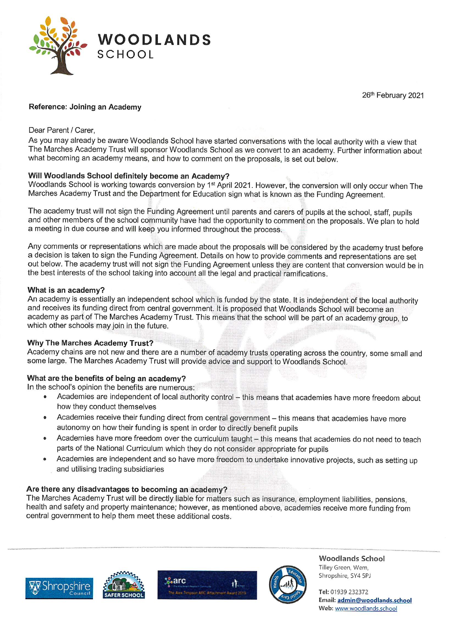

26'h February 2021

# Reference: Joining an Academy

## Dear Parent / Carer,

As you may already be aware Woodlands School have started conversations with the local authority with a view that The Marches Academy Trust will sponsor Woodlands School as we convert to an academy. Further information about what becoming an academy means, and how to comment on the proposals, is set out below.

## Will Woodlands School definitely become an Academy?

Woodlands School is working towards conversion by 1<sup>st</sup> April 2021. However, the conversion will only occur when The Marches Academy Trust and the Department for Education sign what is known as the Funding Agreement.

The academy trust will not sign the Funding Agreement until parents and carers of pupils at the school, staff, pupils and other members of the school community have had the opportunity to comment on the proposals. We plan to hold a meeting in due course and will keep you informed throughout the process.

Any comments or representations which are made about the proposals will be considered by the academy trust before a decision is taken to sign the Funding Agreement. Details on how to provide comments and representations are set out below. The academy trust will not sign the Funding Agreement unless they are content that conversion would be in the best interests of the school taking into account all the legal and practical ramifications.

### What is an academy?

An academy is essentially an independent school which is funded by the state. It is independent of the local authority and receives its funding direct from central government. It is proposed that Woodlands School will become an academy as part of The Marches Academy Trust. This means that the school will be part of an academy group, to which other schools may join in the future.

## Why The Marches Academy Trust?

Academy chains are not new and there are a number of academy trusts operating across the country, some small and some large. The Marches Academy Trust will provide advice and support to Woodlands School.

## What are the benefits of being an academy?

In the school's opinion the benefits are numerous:

- Academies are independent of local authority control this means that academies have more freedom about how they conduct themselves
- Academies receive their funding direct from central government this means that academies have more autonomy on how their funding is spent in order to directly benefit pupils
- Academies have more freedom over the curriculum taught this means that academies do not need to teach parts of the National Curriculum which they do not consider appropriate for pupils
- Academies are independent and so have more freedom to undertake innovative projects, such as setting up and utilising trading subsidiaries

# Are there any disadvantages to becoming an academy?

The Marches Academy Trust will be directly liable for matters such as insurance, employment liabilities, pensions, health and safety and property maintenance; however, as mentioned above, academies receive more funding from central government to help them meet these additional costs.









Woodlands School Tilley Green, Wem, Shropshire, SY4 5PJ

Tel: 01939 232372 Email: admin@woodlands.school Web: www.woodlands.school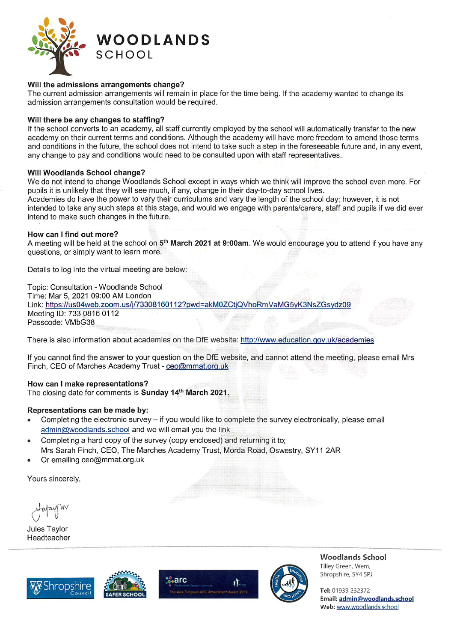

### Will the admissions arrangements change?

The current admission arrangements will remain in place for the time being. If the academy wanted to change its admission arrangements consultation would be required.

#### Will there be any changes to staffing?

If the school converts to an academy, all staff currently employed by the school will automatically transfer to the new academy on their current terms and conditions. Although the academy will have more freedom to amend those terms and conditions in the future, the school does not intend to take such a step in the foreseeable future and, in any event, any change to pay and conditions would need to be consulted upon with staff representatives.

#### Will Woodlands School change?

We do not intend to change Woodlands School except in ways which we think will improve the school even more. For pupils it is unlikely that they will see much, if any, change in their day-to-day school lives.

Academies do have the power to vary their curriculums and vary the length of the school day; however, it is not intended to take any such steps at this stage, and would we engage with parents/carers, staff and pupils if we did ever intend to make such changes in the future.

### How can I find out more?

A meeting will be held at the school on 5<sup>th</sup> March 2021 at 9:00am. We would encourage you to attend if you have any questions, or simply want to learn more.

Details to log into the virtual meeting are below:

Topic: Consultation - Woodlands School Time: Mar 5, 2021 09:00 AM London Link: https://us04web.zoom.us/j/73308160112?pwd=akM0ZCtjQVhoRmVaMG5yK3NsZGsvdz09 Meeting ID: 733 0816 0112 Passcode: VMbG38

There is also information about academies on the DfE website: http://www.education.gov.uk/academies

If you cannot find the answer to your question on the DfE website, and cannot attend the meeting, please email Mrs Finch, CEO of Marches Academy Trust - ceo@mmat.org.uk

### How can I make representations?

The closing date for comments is Sunday 14th March 2021.

#### Representations can be made by:

- Completing the electronic survey  $-$  if you would like to complete the survey electronically, please email admin@woodlands.school and we will email you the link
- Completing a hard copy of the survey (copy enclosed) and returning it to; Mrs Sarah Finch, CEO, The Marches Academy Trust, Morda Road, Oswestry, SY11 2AR
- Or emailing ceo@mmat.org.uk

Yours sincerely,

Jules Taylor Headteacher









Woodlands School Tilley Green, Wem, Shropshire, SY4 5PJ

Tel: 01939 232372 Email: admin@woodlands.school Web: www.woodlands.school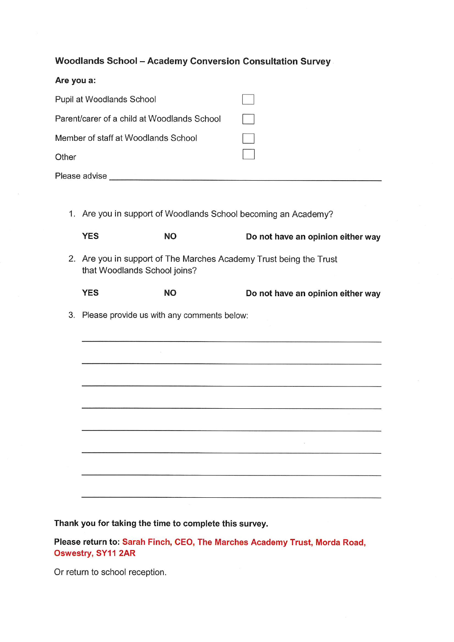Woodlands School - Academy Conversion Consultation Survey

| Are you a:                                  |  |
|---------------------------------------------|--|
| Pupil at Woodlands School                   |  |
| Parent/carer of a child at Woodlands School |  |
| Member of staff at Woodlands School         |  |
| Other                                       |  |
| Please advise                               |  |
|                                             |  |
|                                             |  |

1. Are you in support of Woodlands School becoming an Academy?

| <b>YES</b>                                                        | NΟ | Do not have an opinion either wa |
|-------------------------------------------------------------------|----|----------------------------------|
| 2 Are vau in support of The Marches Academy Trust boing the Trust |    |                                  |

- 2. Are you in support of The Marches Academy Trust being the Trust that Woodlands School joins?
	- YES NO NO Do not have an opinion either way

3. Please provide us with any comments below:

Thank you for taking the time to complete this survey.

Please return to: Sarah Finch, CEO, The Marches Academy Trust, Morda Road, Oswestry, SY11 2AR

Or return to school reception.